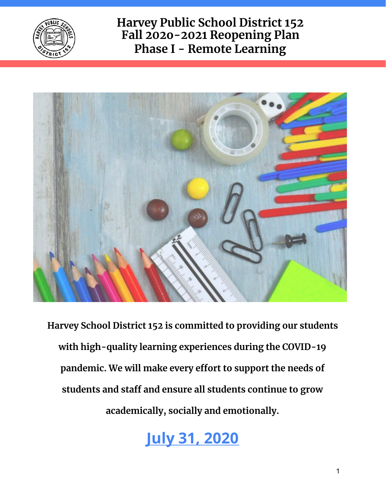



**Harvey School District 152 is committed to providing our students with high-quality learning experiences during the COVID-19 pandemic. We will make every effort to support the needs of students and staff and ensure all students continue to grow academically, socially and emotionally.**

**July 31, 2020**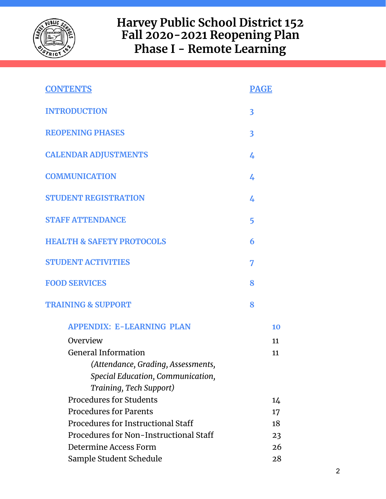

| <b>CONTENTS</b>                        | <b>PAGE</b>             |    |
|----------------------------------------|-------------------------|----|
| <b>INTRODUCTION</b>                    | $\overline{\mathbf{3}}$ |    |
| <b>REOPENING PHASES</b>                | $\overline{\mathbf{3}}$ |    |
| <b>CALENDAR ADJUSTMENTS</b>            | 4                       |    |
| <b>COMMUNICATION</b>                   | 4                       |    |
| <b>STUDENT REGISTRATION</b>            | 4                       |    |
| <b>STAFF ATTENDANCE</b>                | 5                       |    |
| <b>HEALTH &amp; SAFETY PROTOCOLS</b>   | 6                       |    |
| <b>STUDENT ACTIVITIES</b>              | 7                       |    |
| <b>FOOD SERVICES</b>                   | 8                       |    |
| <b>TRAINING &amp; SUPPORT</b>          | 8                       |    |
| <b>APPENDIX: E-LEARNING PLAN</b>       |                         | 10 |
| Overview                               |                         | 11 |
| <b>General Information</b>             |                         | 11 |
| (Attendance, Grading, Assessments,     |                         |    |
| Special Education, Communication,      |                         |    |
| Training, Tech Support)                |                         |    |
| <b>Procedures for Students</b>         |                         | 14 |
| <b>Procedures for Parents</b>          |                         | 17 |
| Procedures for Instructional Staff     |                         | 18 |
| Procedures for Non-Instructional Staff |                         | 23 |
| Determine Access Form                  |                         | 26 |
| Sample Student Schedule                |                         | 28 |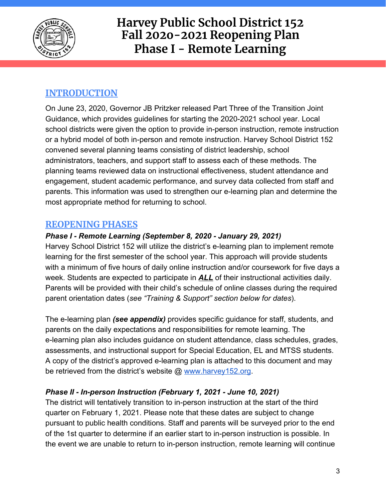

### **INTRODUCTION**

On June 23, 2020, Governor JB Pritzker released Part Three of the Transition Joint Guidance, which provides guidelines for starting the 2020-2021 school year. Local school districts were given the option to provide in-person instruction, remote instruction or a hybrid model of both in-person and remote instruction. Harvey School District 152 convened several planning teams consisting of district leadership, school administrators, teachers, and support staff to assess each of these methods. The planning teams reviewed data on instructional effectiveness, student attendance and engagement, student academic performance, and survey data collected from staff and parents. This information was used to strengthen our e-learning plan and determine the most appropriate method for returning to school.

### **REOPENING PHASES**

#### *Phase I - Remote Learning (September 8, 2020 - January 29, 2021)*

Harvey School District 152 will utilize the district's e-learning plan to implement remote learning for the first semester of the school year. This approach will provide students with a minimum of five hours of daily online instruction and/or coursework for five days a week. Students are expected to participate in *ALL* of their instructional activities daily. Parents will be provided with their child's schedule of online classes during the required parent orientation dates (*see "Training & Support" section below for dates*).

The e-learning plan *(see appendix)* provides specific guidance for staff, students, and parents on the daily expectations and responsibilities for remote learning. The e-learning plan also includes guidance on student attendance, class schedules, grades, assessments, and instructional support for Special Education, EL and MTSS students. A copy of the district's approved e-learning plan is attached to this document and may be retrieved from the district's website @ [www.harvey152.org](http://www.harvey152.org/).

#### *Phase II - In-person Instruction (February 1, 2021 - June 10, 2021)*

The district will tentatively transition to in-person instruction at the start of the third quarter on February 1, 2021. Please note that these dates are subject to change pursuant to public health conditions. Staff and parents will be surveyed prior to the end of the 1st quarter to determine if an earlier start to in-person instruction is possible. In the event we are unable to return to in-person instruction, remote learning will continue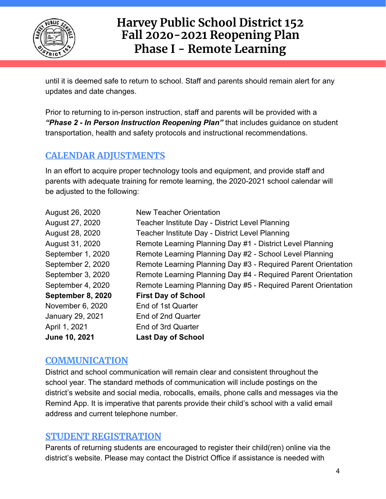

until it is deemed safe to return to school. Staff and parents should remain alert for any updates and date changes.

Prior to returning to in-person instruction, staff and parents will be provided with a *"Phase 2 - In Person Instruction Reopening Plan"* that includes guidance on student transportation, health and safety protocols and instructional recommendations.

### **CALENDAR ADJUSTMENTS**

In an effort to acquire proper technology tools and equipment, and provide staff and parents with adequate training for remote learning, the 2020-2021 school calendar will be adjusted to the following:

| August 26, 2020   | New Teacher Orientation                                       |
|-------------------|---------------------------------------------------------------|
| August 27, 2020   | Teacher Institute Day - District Level Planning               |
| August 28, 2020   | Teacher Institute Day - District Level Planning               |
| August 31, 2020   | Remote Learning Planning Day #1 - District Level Planning     |
| September 1, 2020 | Remote Learning Planning Day #2 - School Level Planning       |
| September 2, 2020 | Remote Learning Planning Day #3 - Required Parent Orientation |
| September 3, 2020 | Remote Learning Planning Day #4 - Required Parent Orientation |
| September 4, 2020 | Remote Learning Planning Day #5 - Required Parent Orientation |
| September 8, 2020 | <b>First Day of School</b>                                    |
| November 6, 2020  | End of 1st Quarter                                            |
| January 29, 2021  | End of 2nd Quarter                                            |
| April 1, 2021     | End of 3rd Quarter                                            |
| June 10, 2021     | <b>Last Day of School</b>                                     |

#### **COMMUNICATION**

District and school communication will remain clear and consistent throughout the school year. The standard methods of communication will include postings on the district's website and social media, robocalls, emails, phone calls and messages via the Remind App. It is imperative that parents provide their child's school with a valid email address and current telephone number.

#### **STUDENT REGISTRATION**

Parents of returning students are encouraged to register their child(ren) online via the district's website. Please may contact the District Office if assistance is needed with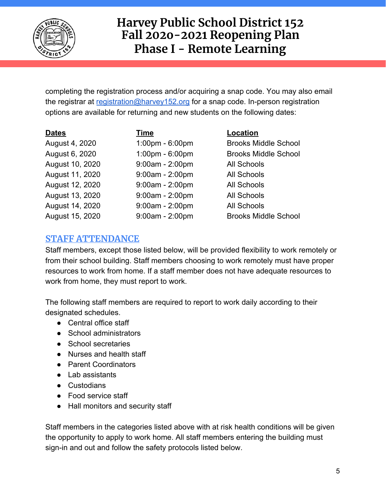

completing the registration process and/or acquiring a snap code. You may also email the registrar at [registration@harvey152.org](mailto:registration@harvey152.org) for a snap code. In-person registration options are available for returning and new students on the following dates:

| <b>Dates</b>    | Time              | Location                    |
|-----------------|-------------------|-----------------------------|
| August 4, 2020  | 1:00pm - 6:00pm   | <b>Brooks Middle School</b> |
| August 6, 2020  | 1:00pm - 6:00pm   | <b>Brooks Middle School</b> |
| August 10, 2020 | $9:00am - 2:00pm$ | <b>All Schools</b>          |
| August 11, 2020 | $9:00am - 2:00pm$ | <b>All Schools</b>          |
| August 12, 2020 | $9:00am - 2:00pm$ | <b>All Schools</b>          |
| August 13, 2020 | $9:00am - 2:00pm$ | <b>All Schools</b>          |
| August 14, 2020 | $9:00am - 2:00pm$ | <b>All Schools</b>          |
| August 15, 2020 | 9:00am - 2:00pm   | <b>Brooks Middle School</b> |

### **STAFF ATTENDANCE**

Staff members, except those listed below, will be provided flexibility to work remotely or from their school building. Staff members choosing to work remotely must have proper resources to work from home. If a staff member does not have adequate resources to work from home, they must report to work.

The following staff members are required to report to work daily according to their designated schedules.

- Central office staff
- School administrators
- School secretaries
- Nurses and health staff
- Parent Coordinators
- Lab assistants
- Custodians
- Food service staff
- Hall monitors and security staff

Staff members in the categories listed above with at risk health conditions will be given the opportunity to apply to work home. All staff members entering the building must sign-in and out and follow the safety protocols listed below.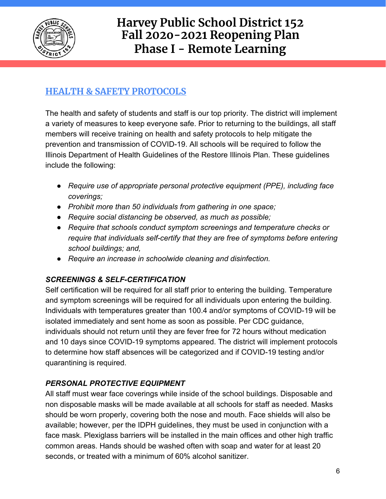

### **HEALTH & SAFETY PROTOCOLS**

The health and safety of students and staff is our top priority. The district will implement a variety of measures to keep everyone safe. Prior to returning to the buildings, all staff members will receive training on health and safety protocols to help mitigate the prevention and transmission of COVID-19. All schools will be required to follow the Illinois Department of Health Guidelines of the Restore Illinois Plan. These guidelines include the following:

- *● Require use of appropriate personal protective equipment (PPE), including face coverings;*
- *● Prohibit more than 50 individuals from gathering in one space;*
- *● Require social distancing be observed, as much as possible;*
- *● Require that schools conduct symptom screenings and temperature checks or require that individuals self-certify that they are free of symptoms before entering school buildings; and,*
- *● Require an increase in schoolwide cleaning and disinfection.*

#### *SCREENINGS & SELF-CERTIFICATION*

Self certification will be required for all staff prior to entering the building. Temperature and symptom screenings will be required for all individuals upon entering the building. Individuals with temperatures greater than 100.4 and/or symptoms of COVID-19 will be isolated immediately and sent home as soon as possible. Per CDC guidance, individuals should not return until they are fever free for 72 hours without medication and 10 days since COVID-19 symptoms appeared. The district will implement protocols to determine how staff absences will be categorized and if COVID-19 testing and/or quarantining is required.

#### *PERSONAL PROTECTIVE EQUIPMENT*

All staff must wear face coverings while inside of the school buildings. Disposable and non disposable masks will be made available at all schools for staff as needed. Masks should be worn properly, covering both the nose and mouth. Face shields will also be available; however, per the IDPH guidelines, they must be used in conjunction with a face mask. Plexiglass barriers will be installed in the main offices and other high traffic common areas. Hands should be washed often with soap and water for at least 20 seconds, or treated with a minimum of 60% alcohol sanitizer.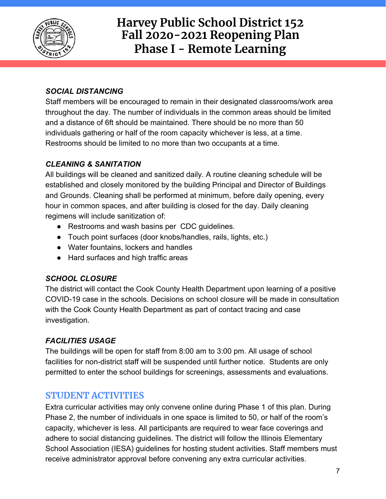

#### *SOCIAL DISTANCING*

Staff members will be encouraged to remain in their designated classrooms/work area throughout the day. The number of individuals in the common areas should be limited and a distance of 6ft should be maintained. There should be no more than 50 individuals gathering or half of the room capacity whichever is less, at a time. Restrooms should be limited to no more than two occupants at a time.

#### *CLEANING & SANITATION*

All buildings will be cleaned and sanitized daily. A routine cleaning schedule will be established and closely monitored by the building Principal and Director of Buildings and Grounds. Cleaning shall be performed at minimum, before daily opening, every hour in common spaces, and after building is closed for the day. Daily cleaning regimens will include sanitization of:

- Restrooms and wash basins per CDC quidelines.
- Touch point surfaces (door knobs/handles, rails, lights, etc.)
- Water fountains, lockers and handles
- Hard surfaces and high traffic areas

#### *SCHOOL CLOSURE*

The district will contact the Cook County Health Department upon learning of a positive COVID-19 case in the schools. Decisions on school closure will be made in consultation with the Cook County Health Department as part of contact tracing and case investigation.

#### *FACILITIES USAGE*

The buildings will be open for staff from 8:00 am to 3:00 pm. All usage of school facilities for non-district staff will be suspended until further notice. Students are only permitted to enter the school buildings for screenings, assessments and evaluations.

#### **STUDENT ACTIVITIES**

Extra curricular activities may only convene online during Phase 1 of this plan. During Phase 2, the number of individuals in one space is limited to 50, or half of the room's capacity, whichever is less. All participants are required to wear face coverings and adhere to social distancing guidelines. The district will follow the Illinois Elementary School Association (IESA) guidelines for hosting student activities. Staff members must receive administrator approval before convening any extra curricular activities.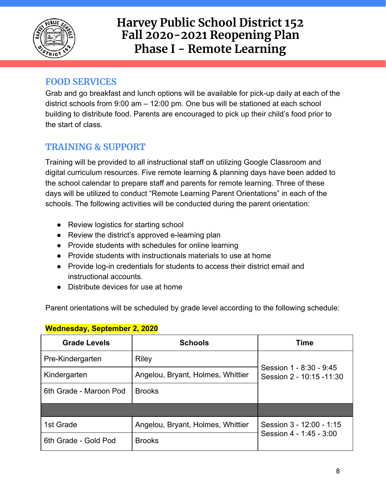

#### **FOOD SERVICES**

Grab and go breakfast and lunch options will be available for pick-up daily at each of the district schools from 9:00 am – 12:00 pm. One bus will be stationed at each school building to distribute food. Parents are encouraged to pick up their child's food prior to the start of class.

### **TRAINING & SUPPORT**

Training will be provided to all instructional staff on utilizing Google Classroom and digital curriculum resources. Five remote learning & planning days have been added to the school calendar to prepare staff and parents for remote learning. Three of these days will be utilized to conduct "Remote Learning Parent Orientations" in each of the schools. The following activities will be conducted during the parent orientation:

- Review logistics for starting school
- Review the district's approved e-learning plan
- Provide students with schedules for online learning
- Provide students with instructionals materials to use at home
- Provide log-in credentials for students to access their district email and instructional accounts.
- Distribute devices for use at home

Parent orientations will be scheduled by grade level according to the following schedule:

| <b>Grade Levels</b>    | <b>Schools</b>                    | Time                                                 |  |
|------------------------|-----------------------------------|------------------------------------------------------|--|
| Pre-Kindergarten       | <b>Riley</b>                      |                                                      |  |
| Kindergarten           | Angelou, Bryant, Holmes, Whittier | Session 1 - 8:30 - 9:45<br>Session 2 - 10:15 - 11:30 |  |
| 6th Grade - Maroon Pod | <b>Brooks</b>                     |                                                      |  |
|                        |                                   |                                                      |  |
| 1st Grade              | Angelou, Bryant, Holmes, Whittier | Session 3 - 12:00 - 1:15                             |  |
| 6th Grade - Gold Pod   | <b>Brooks</b>                     | Session 4 - 1 45 - 3:00                              |  |

#### **Wednesday, September 2, 2020**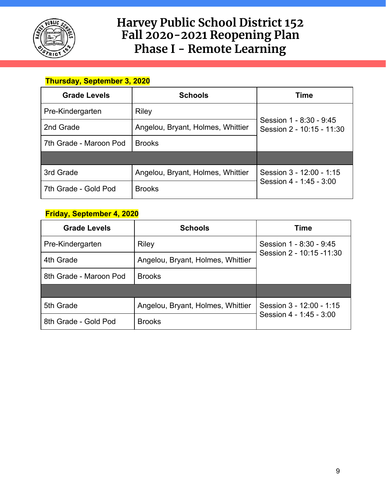

#### **Thursday, September 3, 2020**

| <b>Grade Levels</b>    | <b>Schools</b>                    | Time                                                 |  |
|------------------------|-----------------------------------|------------------------------------------------------|--|
| Pre-Kindergarten       | Riley                             |                                                      |  |
| 2nd Grade              | Angelou, Bryant, Holmes, Whittier | Session 1 - 8:30 - 9:45<br>Session 2 - 10:15 - 11:30 |  |
| 7th Grade - Maroon Pod | <b>Brooks</b>                     |                                                      |  |
|                        |                                   |                                                      |  |
| 3rd Grade              | Angelou, Bryant, Holmes, Whittier | Session 3 - 12:00 - 1:15                             |  |
| 7th Grade - Gold Pod   | <b>Brooks</b>                     | Session 4 - 1 45 - 3:00                              |  |

#### **Friday, September 4, 2020**

| <b>Grade Levels</b>    | <b>Schools</b>                    | <b>Time</b>               |  |
|------------------------|-----------------------------------|---------------------------|--|
| Pre-Kindergarten       | <b>Riley</b>                      | Session 1 - 8:30 - 9:45   |  |
| 4th Grade              | Angelou, Bryant, Holmes, Whittier | Session 2 - 10:15 - 11:30 |  |
| 8th Grade - Maroon Pod | <b>Brooks</b>                     |                           |  |
|                        |                                   |                           |  |
| 5th Grade              | Angelou, Bryant, Holmes, Whittier | Session 3 - 12:00 - 1:15  |  |
| 8th Grade - Gold Pod   | <b>Brooks</b>                     | Session 4 - 1:45 - 3:00   |  |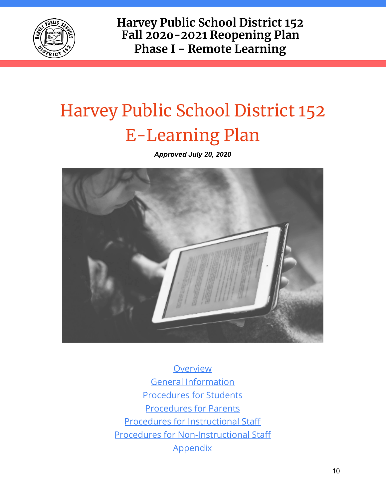

# Harvey Public School District 152 E-Learning Plan

*Approved July 20, 2020*



**Overview** General [Information](#page-10-0) [Procedures](#page-17-0) for Students [Procedures](https://docs.google.com/document/d/1YIajgXVaYIyA-VUJnn-YYabhHCRRjxo9ok-7WCU47t0/edit#heading=h.9uvcxlmf1bmm) for Parents Procedures for [Instructional](#page-22-0) Staff Procedures for [Non-Instructional](#page-22-0) Staff **[Appendix](https://docs.google.com/document/d/1YIajgXVaYIyA-VUJnn-YYabhHCRRjxo9ok-7WCU47t0/edit#heading=h.pxltbpq5hwlz)**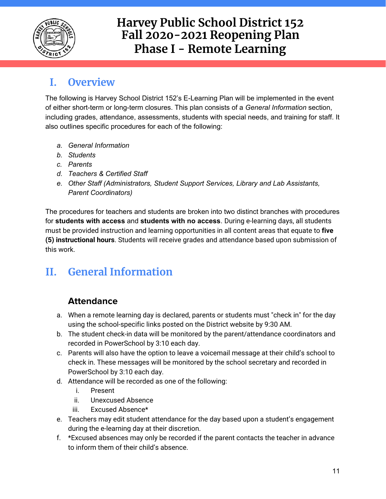

### **I. Overview**

The following is Harvey School District 152's E-Learning Plan will be implemented in the event of either short-term or long-term closures. This plan consists of a *General Information* section, including grades, attendance, assessments, students with special needs, and training for staff. It also outlines specific procedures for each of the following:

- *a. General Information*
- *b. Students*
- *c. Parents*
- *d. Teachers & Certified Staff*
- *e. Other Staff (Administrators, Student Support Services, Library and Lab Assistants, Parent Coordinators)*

The procedures for teachers and students are broken into two distinct branches with procedures for **students with access** and **students with no access**. During e-learning days, all students must be provided instruction and learning opportunities in all content areas that equate to **five (5) instructional hours**. Students will receive grades and attendance based upon submission of this work.

# <span id="page-10-0"></span>**II. General Information**

### **Attendance**

- a. When a remote learning day is declared, parents or students must "check in" for the day using the school-specific links posted on the District website by 9:30 AM.
- b. The student check-in data will be monitored by the parent/attendance coordinators and recorded in PowerSchool by 3:10 each day.
- c. Parents will also have the option to leave a voicemail message at their child's school to check in. These messages will be monitored by the school secretary and recorded in PowerSchool by 3:10 each day.
- d. Attendance will be recorded as one of the following:
	- i. Present
	- ii. Unexcused Absence
	- iii. Excused Absence\*
- e. Teachers may edit student attendance for the day based upon a student's engagement during the e-learning day at their discretion.
- f. \*Excused absences may only be recorded if the parent contacts the teacher in advance to inform them of their child's absence.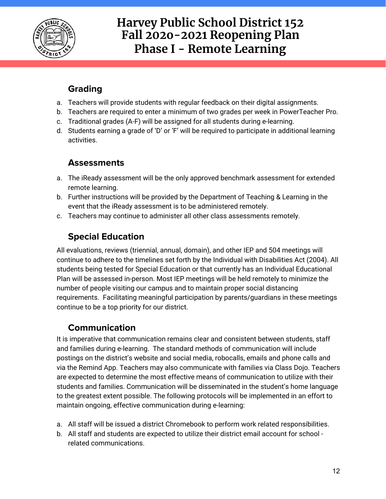

### **Grading**

- a. Teachers will provide students with regular feedback on their digital assignments.
- b. Teachers are required to enter a minimum of two grades per week in PowerTeacher Pro.
- c. Traditional grades (A-F) will be assigned for all students during e-learning.
- d. Students earning a grade of 'D' or 'F' will be required to participate in additional learning activities.

### **Assessments**

- a. The iReady assessment will be the only approved benchmark assessment for extended remote learning.
- b. Further instructions will be provided by the Department of Teaching & Learning in the event that the iReady assessment is to be administered remotely.
- c. Teachers may continue to administer all other class assessments remotely.

### **Special Education**

All evaluations, reviews (triennial, annual, domain), and other IEP and 504 meetings will continue to adhere to the timelines set forth by the Individual with Disabilities Act (2004). All students being tested for Special Education or that currently has an Individual Educational Plan will be assessed in-person. Most IEP meetings will be held remotely to minimize the number of people visiting our campus and to maintain proper social distancing requirements. Facilitating meaningful participation by parents/guardians in these meetings continue to be a top priority for our district.

### **Communication**

It is imperative that communication remains clear and consistent between students, staff and families during e-learning. The standard methods of communication will include postings on the district's website and social media, robocalls, emails and phone calls and via the Remind App. Teachers may also communicate with families via Class Dojo. Teachers are expected to determine the most effective means of communication to utilize with their students and families. Communication will be disseminated in the student's home language to the greatest extent possible. The following protocols will be implemented in an effort to maintain ongoing, effective communication during e-learning:

- a. All staff will be issued a district Chromebook to perform work related responsibilities.
- b. All staff and students are expected to utilize their district email account for school related communications.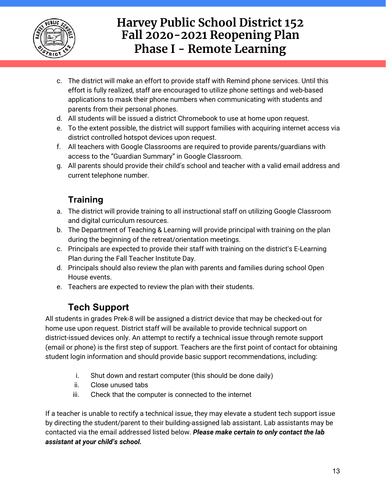

- c. The district will make an effort to provide staff with Remind phone services. Until this effort is fully realized, staff are encouraged to utilize phone settings and web-based applications to mask their phone numbers when communicating with students and parents from their personal phones.
- d. All students will be issued a district Chromebook to use at home upon request.
- e. To the extent possible, the district will support families with acquiring internet access via district controlled hotspot devices upon request.
- f. All teachers with Google Classrooms are required to provide parents/guardians with access to the "Guardian Summary" in Google Classroom.
- g. All parents should provide their child's school and teacher with a valid email address and current telephone number.

### **Training**

- a. The district will provide training to all instructional staff on utilizing Google Classroom and digital curriculum resources.
- b. The Department of Teaching & Learning will provide principal with training on the plan during the beginning of the retreat/orientation meetings.
- c. Principals are expected to provide their staff with training on the district's E-Learning Plan during the Fall Teacher Institute Day.
- d. Principals should also review the plan with parents and families during school Open House events.
- e. Teachers are expected to review the plan with their students.

### **Tech Support**

All students in grades Prek-8 will be assigned a district device that may be checked-out for home use upon request. District staff will be available to provide technical support on district-issued devices only. An attempt to rectify a technical issue through remote support (email or phone) is the first step of support. Teachers are the first point of contact for obtaining student login information and should provide basic support recommendations, including:

- i. Shut down and restart computer (this should be done daily)
- ii. Close unused tabs
- iii. Check that the computer is connected to the internet

If a teacher is unable to rectify a technical issue, they may elevate a student tech support issue by directing the student/parent to their building-assigned lab assistant. Lab assistants may be contacted via the email addressed listed below. *Please make certain to only contact the lab assistant at your child's school.*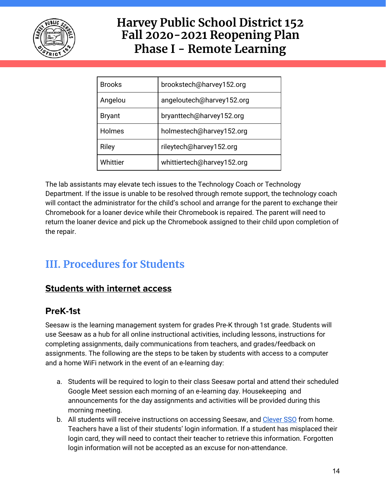

| <b>Brooks</b> | brookstech@harvey152.org   |
|---------------|----------------------------|
| Angelou       | angeloutech@harvey152.org  |
| <b>Bryant</b> | bryanttech@harvey152.org   |
| Holmes        | holmestech@harvey152.org   |
| Riley         | rileytech@harvey152.org    |
| Whittier      | whittiertech@harvey152.org |

The lab assistants may elevate tech issues to the Technology Coach or Technology Department. If the issue is unable to be resolved through remote support, the technology coach will contact the administrator for the child's school and arrange for the parent to exchange their Chromebook for a loaner device while their Chromebook is repaired. The parent will need to return the loaner device and pick up the Chromebook assigned to their child upon completion of the repair.

# **III. Procedures for Students**

### **Students with internet access**

### **PreK-1st**

Seesaw is the learning management system for grades Pre-K through 1st grade. Students will use Seesaw as a hub for all online instructional activities, including lessons, instructions for completing assignments, daily communications from teachers, and grades/feedback on assignments. The following are the steps to be taken by students with access to a computer and a home WiFi network in the event of an e-learning day:

- a. Students will be required to login to their class Seesaw portal and attend their scheduled Google Meet session each morning of an e-learning day. Housekeeping and announcements for the day assignments and activities will be provided during this morning meeting.
- b. All students will receive instructions on accessing Seesaw, and [Clever](https://docs.google.com/document/d/1qn2yEvkZR2tc1qHzNmhUygY8bJtEvEoxzdEfc3l6WMg/edit?usp=sharing) SSO from home. Teachers have a list of their students' login information. If a student has misplaced their login card, they will need to contact their teacher to retrieve this information. Forgotten login information will not be accepted as an excuse for non-attendance.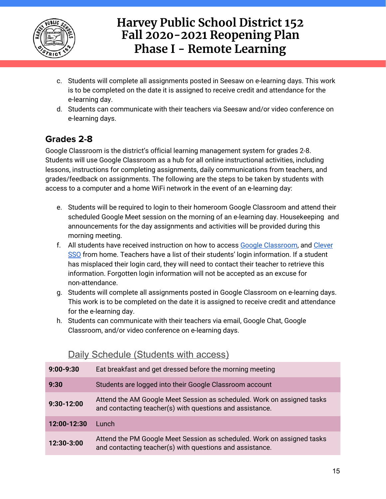

- c. Students will complete all assignments posted in Seesaw on e-learning days. This work is to be completed on the date it is assigned to receive credit and attendance for the e-learning day.
- d. Students can communicate with their teachers via Seesaw and/or video conference on e-learning days.

### **Grades 2-8**

Google Classroom is the district's official learning management system for grades 2-8. Students will use Google Classroom as a hub for all online instructional activities, including lessons, instructions for completing assignments, daily communications from teachers, and grades/feedback on assignments. The following are the steps to be taken by students with access to a computer and a home WiFi network in the event of an e-learning day:

- e. Students will be required to login to their homeroom Google Classroom and attend their scheduled Google Meet session on the morning of an e-learning day. Housekeeping and announcements for the day assignments and activities will be provided during this morning meeting.
- f. All students have received instruction on how to access Google [Classroom,](https://classroom.google.com/) and [Clever](https://docs.google.com/document/d/1qn2yEvkZR2tc1qHzNmhUygY8bJtEvEoxzdEfc3l6WMg/edit?usp=sharing) [SSO](https://docs.google.com/document/d/1qn2yEvkZR2tc1qHzNmhUygY8bJtEvEoxzdEfc3l6WMg/edit?usp=sharing) from home. Teachers have a list of their students' login information. If a student has misplaced their login card, they will need to contact their teacher to retrieve this information. Forgotten login information will not be accepted as an excuse for non-attendance.
- g. Students will complete all assignments posted in Google Classroom on e-learning days. This work is to be completed on the date it is assigned to receive credit and attendance for the e-learning day.
- h. Students can communicate with their teachers via email, Google Chat, Google Classroom, and/or video conference on e-learning days.

| $9:00-9:30$  | Eat breakfast and get dressed before the morning meeting                                                                           |
|--------------|------------------------------------------------------------------------------------------------------------------------------------|
| 9:30         | Students are logged into their Google Classroom account                                                                            |
| $9:30-12:00$ | Attend the AM Google Meet Session as scheduled. Work on assigned tasks<br>and contacting teacher(s) with questions and assistance. |
| 12:00-12:30  | Lunch                                                                                                                              |
| 12:30-3:00   | Attend the PM Google Meet Session as scheduled. Work on assigned tasks<br>and contacting teacher(s) with questions and assistance. |

#### Daily Schedule (Students with access)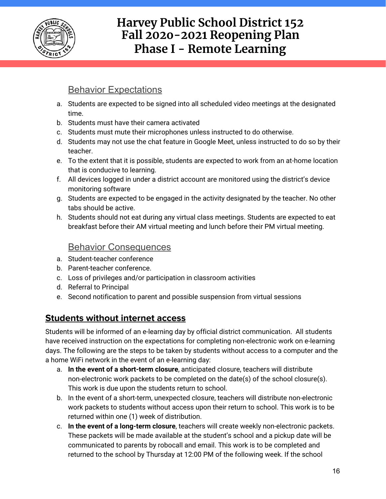

### **Behavior Expectations**

- a. Students are expected to be signed into all scheduled video meetings at the designated time.
- b. Students must have their camera activated
- c. Students must mute their microphones unless instructed to do otherwise.
- d. Students may not use the chat feature in Google Meet, unless instructed to do so by their teacher.
- e. To the extent that it is possible, students are expected to work from an at-home location that is conducive to learning.
- f. All devices logged in under a district account are monitored using the district's device monitoring software
- g. Students are expected to be engaged in the activity designated by the teacher. No other tabs should be active.
- h. Students should not eat during any virtual class meetings. Students are expected to eat breakfast before their AM virtual meeting and lunch before their PM virtual meeting.

#### Behavior Consequences

- a. Student-teacher conference
- b. Parent-teacher conference.
- c. Loss of privileges and/or participation in classroom activities
- d. Referral to Principal
- e. Second notification to parent and possible suspension from virtual sessions

#### **Students without internet access**

Students will be informed of an e-learning day by official district communication. All students have received instruction on the expectations for completing non-electronic work on e-learning days. The following are the steps to be taken by students without access to a computer and the a home WiFi network in the event of an e-learning day:

- a. **In the event of a short-term closure**, anticipated closure, teachers will distribute non-electronic work packets to be completed on the date(s) of the school closure(s). This work is due upon the students return to school.
- b. In the event of a short-term, unexpected closure, teachers will distribute non-electronic work packets to students without access upon their return to school. This work is to be returned within one (1) week of distribution.
- c. **In the event of a long-term closure**, teachers will create weekly non-electronic packets. These packets will be made available at the student's school and a pickup date will be communicated to parents by robocall and email. This work is to be completed and returned to the school by Thursday at 12:00 PM of the following week. If the school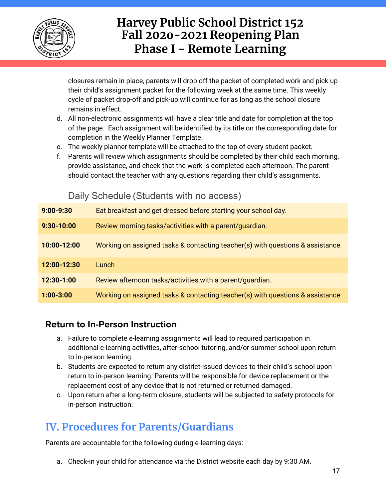

closures remain in place, parents will drop off the packet of completed work and pick up their child's assignment packet for the following week at the same time. This weekly cycle of packet drop-off and pick-up will continue for as long as the school closure remains in effect.

- d. All non-electronic assignments will have a clear title and date for completion at the top of the page. Each assignment will be identified by its title on the corresponding date for completion in the Weekly Planner Template.
- e. The weekly planner template will be attached to the top of every student packet.
- f. Parents will review which assignments should be completed by their child each morning, provide assistance, and check that the work is completed each afternoon. The parent should contact the teacher with any questions regarding their child's assignments.

Daily Schedule (Students with no access)

| $9:00 - 9:30$ | Eat breakfast and get dressed before starting your school day.                 |
|---------------|--------------------------------------------------------------------------------|
| $9:30-10:00$  | Review morning tasks/activities with a parent/guardian.                        |
| 10:00-12:00   | Working on assigned tasks & contacting teacher(s) with questions & assistance. |
| 12:00-12:30   | Lunch                                                                          |
| 12:30-1:00    | Review afternoon tasks/activities with a parent/guardian.                      |
| $1:00 - 3:00$ | Working on assigned tasks & contacting teacher(s) with questions & assistance. |

#### **Return to In-Person Instruction**

- a. Failure to complete e-learning assignments will lead to required participation in additional e-learning activities, after-school tutoring, and/or summer school upon return to in-person learning.
- b. Students are expected to return any district-issued devices to their child's school upon return to in-person learning. Parents will be responsible for device replacement or the replacement cost of any device that is not returned or returned damaged.
- c. Upon return after a long-term closure, students will be subjected to safety protocols for in-person instruction.

# **IV. Procedures for Parents/Guardians**

Parents are accountable for the following during e-learning days:

a. Check-in your child for attendance via the District website each day by 9:30 AM.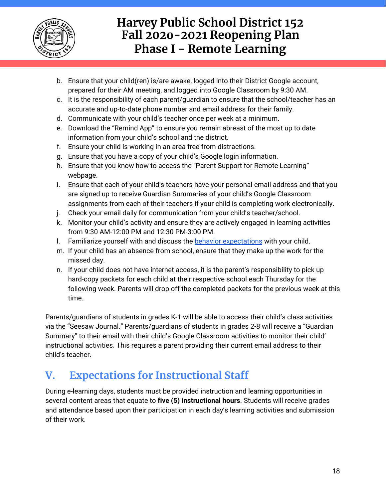

- b. Ensure that your child(ren) is/are awake, logged into their District Google account, prepared for their AM meeting, and logged into Google Classroom by 9:30 AM.
- c. It is the responsibility of each parent/guardian to ensure that the school/teacher has an accurate and up-to-date phone number and email address for their family.
- d. Communicate with your child's teacher once per week at a minimum.
- e. Download the "Remind App" to ensure you remain abreast of the most up to date information from your child's school and the district.
- f. Ensure your child is working in an area free from distractions.
- g. Ensure that you have a copy of your child's Google login information.
- h. Ensure that you know how to access the "Parent Support for Remote Learning" webpage.
- i. Ensure that each of your child's teachers have your personal email address and that you are signed up to receive Guardian Summaries of your child's Google Classroom assignments from each of their teachers if your child is completing work electronically.
- j. Check your email daily for communication from your child's teacher/school.
- k. Monitor your child's activity and ensure they are actively engaged in learning activities from 9:30 AM-12:00 PM and 12:30 PM-3:00 PM.
- l. Familiarize yourself with and discuss the behavior [expectations](https://docs.google.com/document/d/1YIajgXVaYIyA-VUJnn-YYabhHCRRjxo9ok-7WCU47t0/edit#heading=h.f5ly1i201uuu) with your child.
- m. If your child has an absence from school, ensure that they make up the work for the missed day.
- n. If your child does not have internet access, it is the parent's responsibility to pick up hard-copy packets for each child at their respective school each Thursday for the following week. Parents will drop off the completed packets for the previous week at this time.

Parents/guardians of students in grades K-1 will be able to access their child's class activities via the "Seesaw Journal." Parents/guardians of students in grades 2-8 will receive a "Guardian Summary" to their email with their child's Google Classroom activities to monitor their child' instructional activities. This requires a parent providing their current email address to their child's teacher.

# <span id="page-17-0"></span>**V. Expectations for Instructional Staff**

During e-learning days, students must be provided instruction and learning opportunities in several content areas that equate to **five (5) instructional hours**. Students will receive grades and attendance based upon their participation in each day's learning activities and submission of their work.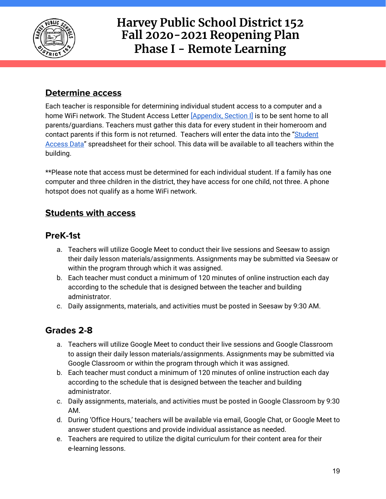

### **Determine access**

Each teacher is responsible for determining individual student access to a computer and a home WiFi network. The Student Access Letter [\[Appendix,](https://docs.google.com/document/d/1YIajgXVaYIyA-VUJnn-YYabhHCRRjxo9ok-7WCU47t0/edit#heading=h.k3y2ianj7yqy) Section I] is to be sent home to all parents/guardians. Teachers must gather this data for every student in their homeroom and contact parents if this form is not returned. Teachers will enter the data into the ["Student](https://drive.google.com/drive/folders/1--QIHb-ck8WJt8A1S8PEBRYjZVgnRj3a?usp=sharing) [Access](https://drive.google.com/drive/folders/1--QIHb-ck8WJt8A1S8PEBRYjZVgnRj3a?usp=sharing) Data" spreadsheet for their school. This data will be available to all teachers within the building.

\*\*Please note that access must be determined for each individual student. If a family has one computer and three children in the district, they have access for one child, not three. A phone hotspot does not qualify as a home WiFi network.

#### **Students with access**

#### **PreK-1st**

- a. Teachers will utilize Google Meet to conduct their live sessions and Seesaw to assign their daily lesson materials/assignments. Assignments may be submitted via Seesaw or within the program through which it was assigned.
- b. Each teacher must conduct a minimum of 120 minutes of online instruction each day according to the schedule that is designed between the teacher and building administrator.
- c. Daily assignments, materials, and activities must be posted in Seesaw by 9:30 AM.

### **Grades 2-8**

- a. Teachers will utilize Google Meet to conduct their live sessions and Google Classroom to assign their daily lesson materials/assignments. Assignments may be submitted via Google Classroom or within the program through which it was assigned.
- b. Each teacher must conduct a minimum of 120 minutes of online instruction each day according to the schedule that is designed between the teacher and building administrator.
- c. Daily assignments, materials, and activities must be posted in Google Classroom by 9:30 AM.
- d. During 'Office Hours,' teachers will be available via email, Google Chat, or Google Meet to answer student questions and provide individual assistance as needed.
- e. Teachers are required to utilize the digital curriculum for their content area for their e-learning lessons.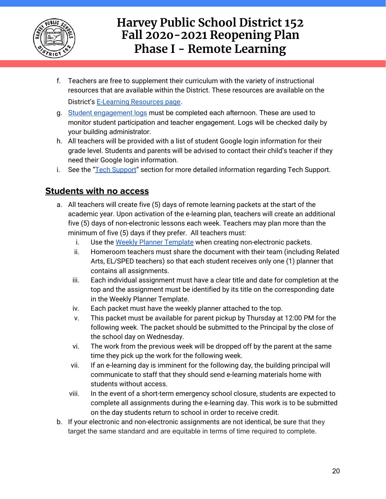

- f. Teachers are free to supplement their curriculum with the variety of instructional resources that are available within the District. These resources are available on the District's E-Learning [Resources](https://sites.google.com/harvey152.org/e-learning-resources/home) page.
- g. Student [engagement](https://drive.google.com/drive/folders/1pcsJmbVyXlegvjPpuHkOCyfRGWwr78Eh?usp=sharing) logs must be completed each afternoon. These are used to monitor student participation and teacher engagement. Logs will be checked daily by your building administrator.
- h. All teachers will be provided with a list of student Google login information for their grade level. Students and parents will be advised to contact their child's teacher if they need their Google login information.
- i. See the "Tech [Support](https://docs.google.com/document/d/1YIajgXVaYIyA-VUJnn-YYabhHCRRjxo9ok-7WCU47t0/edit#heading=h.epn1ktims62e)" section for more detailed information regarding Tech Support.

#### **Students with no access**

- a. All teachers will create five (5) days of remote learning packets at the start of the academic year. Upon activation of the e-learning plan, teachers will create an additional five (5) days of non-electronic lessons each week. Teachers may plan more than the minimum of five (5) days if they prefer. All teachers must:
	- i. Use the Weekly Planner [Template](https://docs.google.com/document/d/1mvr9e85z67JSUpPOgeDMbPpJyysnO1s1ysNayIb9g6k/copy) when creating non-electronic packets.
	- ii. Homeroom teachers must share the document with their team (including Related Arts, EL/SPED teachers) so that each student receives only one (1) planner that contains all assignments.
	- iii. Each individual assignment must have a clear title and date for completion at the top and the assignment must be identified by its title on the corresponding date in the Weekly Planner Template.
	- iv. Each packet must have the weekly planner attached to the top.
	- v. This packet must be available for parent pickup by Thursday at 12:00 PM for the following week. The packet should be submitted to the Principal by the close of the school day on Wednesday.
	- vi. The work from the previous week will be dropped off by the parent at the same time they pick up the work for the following week.
	- vii. If an e-learning day is imminent for the following day, the building principal will communicate to staff that they should send e-learning materials home with students without access.
	- viii. In the event of a short-term emergency school closure, students are expected to complete all assignments during the e-learning day. This work is to be submitted on the day students return to school in order to receive credit.
- b. If your electronic and non-electronic assignments are not identical, be sure that they target the same standard and are equitable in terms of time required to complete.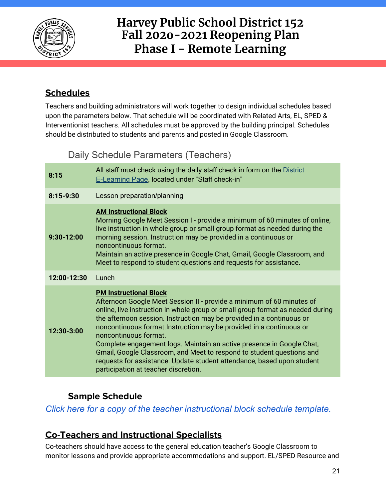

### **Schedules**

Teachers and building administrators will work together to design individual schedules based upon the parameters below. That schedule will be coordinated with Related Arts, EL, SPED & Interventionist teachers. All schedules must be approved by the building principal. Schedules should be distributed to students and parents and posted in Google Classroom.

### Daily Schedule Parameters (Teachers)

| 8:15        | All staff must check using the daily staff check in form on the District<br><b>E-Learning Page, located under "Staff check-in"</b>                                                                                                                                                                                                                                                                                                                                                                                                                                                                                                     |  |  |
|-------------|----------------------------------------------------------------------------------------------------------------------------------------------------------------------------------------------------------------------------------------------------------------------------------------------------------------------------------------------------------------------------------------------------------------------------------------------------------------------------------------------------------------------------------------------------------------------------------------------------------------------------------------|--|--|
| $8:15-9:30$ | Lesson preparation/planning                                                                                                                                                                                                                                                                                                                                                                                                                                                                                                                                                                                                            |  |  |
| 9:30-12:00  | <b>AM Instructional Block</b><br>Morning Google Meet Session I - provide a minimum of 60 minutes of online,<br>live instruction in whole group or small group format as needed during the<br>morning session. Instruction may be provided in a continuous or<br>noncontinuous format.<br>Maintain an active presence in Google Chat, Gmail, Google Classroom, and<br>Meet to respond to student questions and requests for assistance.                                                                                                                                                                                                 |  |  |
| 12:00-12:30 | Lunch                                                                                                                                                                                                                                                                                                                                                                                                                                                                                                                                                                                                                                  |  |  |
| 12:30-3:00  | <b>PM Instructional Block</b><br>Afternoon Google Meet Session II - provide a minimum of 60 minutes of<br>online, live instruction in whole group or small group format as needed during<br>the afternoon session. Instruction may be provided in a continuous or<br>noncontinuous format. Instruction may be provided in a continuous or<br>noncontinuous format.<br>Complete engagement logs. Maintain an active presence in Google Chat,<br>Gmail, Google Classroom, and Meet to respond to student questions and<br>requests for assistance. Update student attendance, based upon student<br>participation at teacher discretion. |  |  |

### **Sample Schedule**

*Click here for a copy of the teacher [instructional](https://docs.google.com/document/d/1mXf2OLYEG0comNiUdmmbXlZkhjeSVpX0i0IsTjQwmow/edit?usp=sharing) block schedule template.*

### **Co-Teachers and Instructional Specialists**

Co-teachers should have access to the general education teacher's Google Classroom to monitor lessons and provide appropriate accommodations and support. EL/SPED Resource and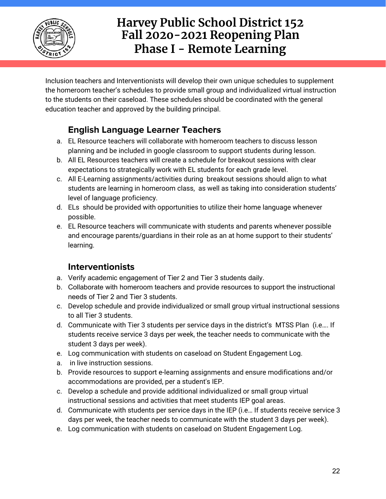

Inclusion teachers and Interventionists will develop their own unique schedules to supplement the homeroom teacher's schedules to provide small group and individualized virtual instruction to the students on their caseload. These schedules should be coordinated with the general education teacher and approved by the building principal.

### **English Language Learner Teachers**

- a. EL Resource teachers will collaborate with homeroom teachers to discuss lesson planning and be included in google classroom to support students during lesson.
- b. All EL Resources teachers will create a schedule for breakout sessions with clear expectations to strategically work with EL students for each grade level.
- c. All E-Learning assignments/activities during breakout sessions should align to what students are learning in homeroom class, as well as taking into consideration students' level of language proficiency.
- d. ELs should be provided with opportunities to utilize their home language whenever possible.
- e. EL Resource teachers will communicate with students and parents whenever possible and encourage parents/guardians in their role as an at home support to their students' learning.

#### **Interventionists**

- a. Verify academic engagement of Tier 2 and Tier 3 students daily.
- b. Collaborate with homeroom teachers and provide resources to support the instructional needs of Tier 2 and Tier 3 students.
- c. Develop schedule and provide individualized or small group virtual instructional sessions to all Tier 3 students.
- d. Communicate with Tier 3 students per service days in the district's MTSS Plan (i.e…. If students receive service 3 days per week, the teacher needs to communicate with the student 3 days per week).
- e. Log communication with students on caseload on Student Engagement Log.
- a. in live instruction sessions.
- b. Provide resources to support e-learning assignments and ensure modifications and/or accommodations are provided, per a student's IEP.
- c. Develop a schedule and provide additional individualized or small group virtual instructional sessions and activities that meet students IEP goal areas.
- d. Communicate with students per service days in the IEP (i.e… If students receive service 3 days per week, the teacher needs to communicate with the student 3 days per week).
- e. Log communication with students on caseload on Student Engagement Log.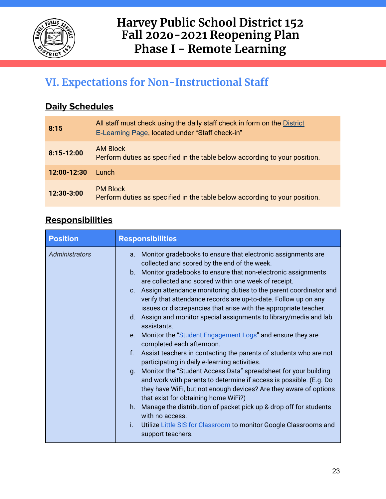

# <span id="page-22-0"></span>**VI. Expectations for Non-Instructional Staff**

### **Daily Schedules**

| 8:15        | All staff must check using the daily staff check in form on the District<br><b>E-Learning Page, located under "Staff check-in"</b> |
|-------------|------------------------------------------------------------------------------------------------------------------------------------|
| 8:15-12:00  | AM Block<br>Perform duties as specified in the table below according to your position.                                             |
| 12:00-12:30 | Lunch.                                                                                                                             |
| 12:30-3:00  | <b>PM Block</b><br>Perform duties as specified in the table below according to your position.                                      |

### **Responsibilities**

| <b>Position</b> | <b>Responsibilities</b>                                                                                                                                                                                                                                                                                                                                                                                                                                                                                                                                                                                                                                                                                                                                                                                                                                                                                                                                                                                                                                                                                                                                                                                   |
|-----------------|-----------------------------------------------------------------------------------------------------------------------------------------------------------------------------------------------------------------------------------------------------------------------------------------------------------------------------------------------------------------------------------------------------------------------------------------------------------------------------------------------------------------------------------------------------------------------------------------------------------------------------------------------------------------------------------------------------------------------------------------------------------------------------------------------------------------------------------------------------------------------------------------------------------------------------------------------------------------------------------------------------------------------------------------------------------------------------------------------------------------------------------------------------------------------------------------------------------|
| Administrators  | Monitor gradebooks to ensure that electronic assignments are<br>a.<br>collected and scored by the end of the week.<br>Monitor gradebooks to ensure that non-electronic assignments<br>$b_{\cdot}$<br>are collected and scored within one week of receipt.<br>Assign attendance monitoring duties to the parent coordinator and<br>C <sub>1</sub><br>verify that attendance records are up-to-date. Follow up on any<br>issues or discrepancies that arise with the appropriate teacher.<br>Assign and monitor special assignments to library/media and lab<br>$d_{\cdot}$<br>assistants.<br>Monitor the "Student Engagement Logs" and ensure they are<br>$e_{\cdot}$<br>completed each afternoon.<br>Assist teachers in contacting the parents of students who are not<br>$f_{\star}$<br>participating in daily e-learning activities.<br>Monitor the "Student Access Data" spreadsheet for your building<br>$q_{\cdot}$<br>and work with parents to determine if access is possible. (E.g. Do<br>they have WiFi, but not enough devices? Are they aware of options<br>that exist for obtaining home WiFi?)<br>Manage the distribution of packet pick up & drop off for students<br>h.<br>with no access. |
|                 | Utilize Little SIS for Classroom to monitor Google Classrooms and<br>Ť.<br>support teachers.                                                                                                                                                                                                                                                                                                                                                                                                                                                                                                                                                                                                                                                                                                                                                                                                                                                                                                                                                                                                                                                                                                              |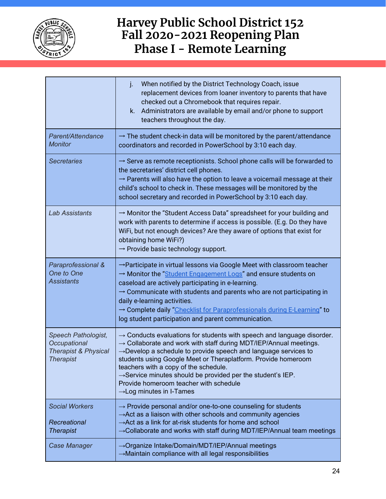

|                                                                                            | j.<br>When notified by the District Technology Coach, issue<br>replacement devices from loaner inventory to parents that have<br>checked out a Chromebook that requires repair.<br>Administrators are available by email and/or phone to support<br>k.<br>teachers throughout the day.                                                                                                                                                                                                                                    |  |  |  |
|--------------------------------------------------------------------------------------------|---------------------------------------------------------------------------------------------------------------------------------------------------------------------------------------------------------------------------------------------------------------------------------------------------------------------------------------------------------------------------------------------------------------------------------------------------------------------------------------------------------------------------|--|--|--|
| Parent/Attendance<br><b>Monitor</b>                                                        | $\rightarrow$ The student check-in data will be monitored by the parent/attendance<br>coordinators and recorded in PowerSchool by 3:10 each day.                                                                                                                                                                                                                                                                                                                                                                          |  |  |  |
| <b>Secretaries</b>                                                                         | $\rightarrow$ Serve as remote receptionists. School phone calls will be forwarded to<br>the secretaries' district cell phones.<br>$\rightarrow$ Parents will also have the option to leave a voicemail message at their<br>child's school to check in. These messages will be monitored by the<br>school secretary and recorded in PowerSchool by 3:10 each day.                                                                                                                                                          |  |  |  |
| <b>Lab Assistants</b>                                                                      | $\rightarrow$ Monitor the "Student Access Data" spreadsheet for your building and<br>work with parents to determine if access is possible. (E.g. Do they have<br>WiFi, but not enough devices? Are they aware of options that exist for<br>obtaining home WiFi?)<br>$\rightarrow$ Provide basic technology support.                                                                                                                                                                                                       |  |  |  |
| Paraprofessional &<br>One to One<br><b>Assistants</b>                                      | → Participate in virtual lessons via Google Meet with classroom teacher<br>→ Monitor the "Student Engagement Logs" and ensure students on<br>caseload are actively participating in e-learning.<br>$\rightarrow$ Communicate with students and parents who are not participating in<br>daily e-learning activities.<br>→ Complete daily "Checklist for Paraprofessionals during E-Learning" to<br>log student participation and parent communication.                                                                     |  |  |  |
| Speech Pathologist,<br>Occupational<br><b>Therapist &amp; Physical</b><br><b>Therapist</b> | $\rightarrow$ Conducts evaluations for students with speech and language disorder.<br>$\rightarrow$ Collaborate and work with staff during MDT/IEP/Annual meetings.<br>$\rightarrow$ Develop a schedule to provide speech and language services to<br>students using Google Meet or Theraplatform. Provide homeroom<br>teachers with a copy of the schedule.<br>$\rightarrow$ Service minutes should be provided per the student's IEP.<br>Provide homeroom teacher with schedule<br>$\rightarrow$ Log minutes in I-Tames |  |  |  |
| <b>Social Workers</b><br>Recreational<br><b>Therapist</b>                                  | $\rightarrow$ Provide personal and/or one-to-one counseling for students<br>$\rightarrow$ Act as a liaison with other schools and community agencies<br>$\rightarrow$ Act as a link for at-risk students for home and school<br>$\rightarrow$ Collaborate and works with staff during MDT/IEP/Annual team meetings                                                                                                                                                                                                        |  |  |  |
| Case Manager                                                                               | → Organize Intake/Domain/MDT/IEP/Annual meetings<br>$\rightarrow$ Maintain compliance with all legal responsibilities                                                                                                                                                                                                                                                                                                                                                                                                     |  |  |  |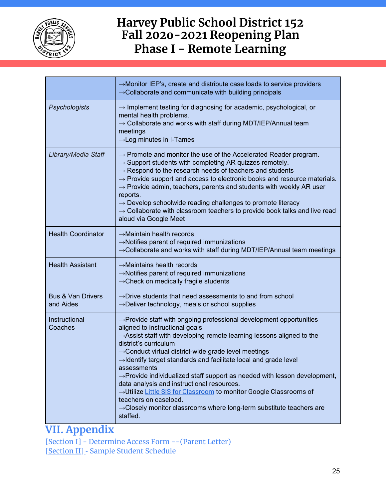

|                                           | $\rightarrow$ Monitor IEP's, create and distribute case loads to service providers<br>$\rightarrow$ Collaborate and communicate with building principals                                                                                                                                                                                                                                                                                                                                                                                                                                                                                                                                                                                |  |  |  |
|-------------------------------------------|-----------------------------------------------------------------------------------------------------------------------------------------------------------------------------------------------------------------------------------------------------------------------------------------------------------------------------------------------------------------------------------------------------------------------------------------------------------------------------------------------------------------------------------------------------------------------------------------------------------------------------------------------------------------------------------------------------------------------------------------|--|--|--|
| Psychologists                             | $\rightarrow$ Implement testing for diagnosing for academic, psychological, or<br>mental health problems.<br>$\rightarrow$ Collaborate and works with staff during MDT/IEP/Annual team<br>meetings<br>$\rightarrow$ Log minutes in I-Tames                                                                                                                                                                                                                                                                                                                                                                                                                                                                                              |  |  |  |
| Library/Media Staff                       | $\rightarrow$ Promote and monitor the use of the Accelerated Reader program.<br>$\rightarrow$ Support students with completing AR quizzes remotely.<br>$\rightarrow$ Respond to the research needs of teachers and students<br>$\rightarrow$ Provide support and access to electronic books and resource materials.<br>$\rightarrow$ Provide admin, teachers, parents and students with weekly AR user<br>reports.<br>$\rightarrow$ Develop schoolwide reading challenges to promote literacy<br>$\rightarrow$ Collaborate with classroom teachers to provide book talks and live read<br>aloud via Google Meet                                                                                                                         |  |  |  |
| <b>Health Coordinator</b>                 | $\rightarrow$ Maintain health records<br>$\rightarrow$ Notifies parent of required immunizations<br>$\rightarrow$ Collaborate and works with staff during MDT/IEP/Annual team meetings                                                                                                                                                                                                                                                                                                                                                                                                                                                                                                                                                  |  |  |  |
| <b>Health Assistant</b>                   | $\rightarrow$ Maintains health records<br>$\rightarrow$ Notifies parent of required immunizations<br>$\rightarrow$ Check on medically fragile students                                                                                                                                                                                                                                                                                                                                                                                                                                                                                                                                                                                  |  |  |  |
| <b>Bus &amp; Van Drivers</b><br>and Aides | $\rightarrow$ Drive students that need assessments to and from school<br>$\rightarrow$ Deliver technology, meals or school supplies                                                                                                                                                                                                                                                                                                                                                                                                                                                                                                                                                                                                     |  |  |  |
| Instructional<br>Coaches                  | $\rightarrow$ Provide staff with ongoing professional development opportunities<br>aligned to instructional goals<br>$\rightarrow$ Assist staff with developing remote learning lessons aligned to the<br>district's curriculum<br>$\rightarrow$ Conduct virtual district-wide grade level meetings<br>$\rightarrow$ Identify target standards and facilitate local and grade level<br>assessments<br>$\rightarrow$ Provide individualized staff support as needed with lesson development,<br>data analysis and instructional resources.<br>→Utilize Little SIS for Classroom to monitor Google Classrooms of<br>teachers on caseload.<br>$\rightarrow$ Closely monitor classrooms where long-term substitute teachers are<br>staffed. |  |  |  |

### **VII. Appendix**

[\[Section](https://docs.google.com/document/d/1YIajgXVaYIyA-VUJnn-YYabhHCRRjxo9ok-7WCU47t0/edit#heading=h.k3y2ianj7yqy) I] - Determine Access Form --(Parent Letter) [\[Section](https://docs.google.com/document/d/1YIajgXVaYIyA-VUJnn-YYabhHCRRjxo9ok-7WCU47t0/edit#heading=h.55roavcx09o7) I[I\]](https://docs.google.com/document/d/1YIajgXVaYIyA-VUJnn-YYabhHCRRjxo9ok-7WCU47t0/edit#heading=h.55roavcx09o7) [-](https://docs.google.com/document/d/1YIajgXVaYIyA-VUJnn-YYabhHCRRjxo9ok-7WCU47t0/edit#heading=h.sglfai27kbye) Sample Student Schedule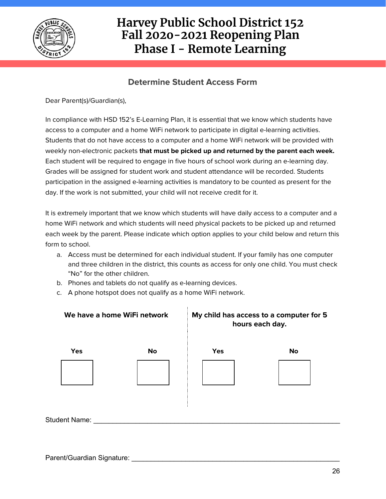

#### **Determine Student Access Form**

Dear Parent(s)/Guardian(s),

In compliance with HSD 152's E-Learning Plan, it is essential that we know which students have access to a computer and a home WiFi network to participate in digital e-learning activities. Students that do not have access to a computer and a home WiFi network will be provided with weekly non-electronic packets **that must be picked up and returned by the parent each week.** Each student will be required to engage in five hours of school work during an e-learning day. Grades will be assigned for student work and student attendance will be recorded. Students participation in the assigned e-learning activities is mandatory to be counted as present for the day. If the work is not submitted, your child will not receive credit for it.

It is extremely important that we know which students will have daily access to a computer and a home WiFi network and which students will need physical packets to be picked up and returned each week by the parent. Please indicate which option applies to your child below and return this form to school.

- a. Access must be determined for each individual student. If your family has one computer and three children in the district, this counts as access for only one child. You must check "No" for the other children.
- b. Phones and tablets do not qualify as e-learning devices.
- c. A phone hotspot does not qualify as a home WiFi network.

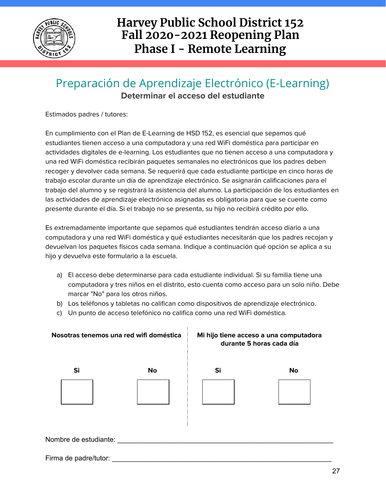

### Preparación de Aprendizaje Electrónico (E-Learning) **Determinar el acceso del estudiante**

Estimados padres / tutores:

En cumplimiento con el Plan de E-Learning de HSD 152, es esencial que sepamos qué estudiantes tienen acceso a una computadora y una red WiFi doméstica para participar en actividades digitales de e-learning. Los estudiantes que no tienen acceso a una computadora y una red WiFi doméstica recibirán paquetes semanales no electrónicos que los padres deben recoger y devolver cada semana. Se requerirá que cada estudiante participe en cinco horas de trabajo escolar durante un día de aprendizaje electrónico. Se asignarán calificaciones para el trabajo del alumno y se registrará la asistencia del alumno. La participación de los estudiantes en las actividades de aprendizaje electrónico asignadas es obligatoria para que se cuente como presente durante el día. Si el trabajo no se presenta, su hijo no recibirá crédito por ello.

Es extremadamente importante que sepamos qué estudiantes tendrán acceso diario a una computadora y una red WiFi doméstica y qué estudiantes necesitarán que los padres recojan y devuelvan los paquetes físicos cada semana. Indique a continuación qué opción se aplica a su hijo y devuelva este formulario a la escuela.

- a) El acceso debe determinarse para cada estudiante individual. Si su familia tiene una computadora y tres niños en el distrito, esto cuenta como acceso para un solo niño. Debe marcar "No" para los otros niños.
- b) Los teléfonos y tabletas no califican como dispositivos de aprendizaje electrónico.
- c) Un punto de acceso telefónico no califica como una red WiFi doméstica.

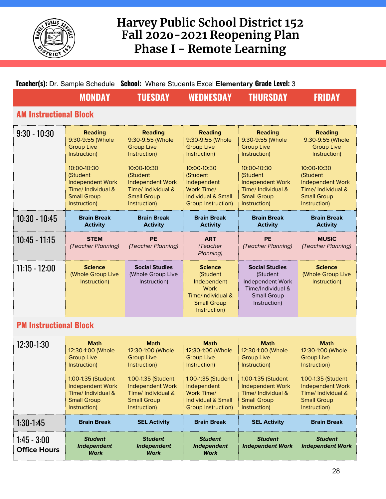

| Teacher(s): Dr. Sample Schedule School: Where Students Excel Elementary Grade Level: 3 |                                                                                                                                                                                           |                                                                                                                                                                                           |                                                                                                                                                                                        |                                                                                                                                                                                           |                                                                                                                                                                                               |  |  |
|----------------------------------------------------------------------------------------|-------------------------------------------------------------------------------------------------------------------------------------------------------------------------------------------|-------------------------------------------------------------------------------------------------------------------------------------------------------------------------------------------|----------------------------------------------------------------------------------------------------------------------------------------------------------------------------------------|-------------------------------------------------------------------------------------------------------------------------------------------------------------------------------------------|-----------------------------------------------------------------------------------------------------------------------------------------------------------------------------------------------|--|--|
|                                                                                        | <b>MONDAY</b>                                                                                                                                                                             | <b>TUESDAY</b>                                                                                                                                                                            | <b>WEDNESDAY</b>                                                                                                                                                                       | <b>THURSDAY</b>                                                                                                                                                                           | <b>FRIDAY</b>                                                                                                                                                                                 |  |  |
|                                                                                        | <b>AM Instructional Block</b>                                                                                                                                                             |                                                                                                                                                                                           |                                                                                                                                                                                        |                                                                                                                                                                                           |                                                                                                                                                                                               |  |  |
| $9:30 - 10:30$                                                                         | <b>Reading</b><br>9:30-9:55 (Whole<br><b>Group Live</b><br>Instruction)<br>10:00-10:30<br>(Student<br><b>Independent Work</b><br>Time/ Individual &<br><b>Small Group</b><br>Instruction) | <b>Reading</b><br>9:30-9:55 (Whole<br><b>Group Live</b><br>Instruction)<br>10:00-10:30<br>(Student<br><b>Independent Work</b><br>Time/ Individual &<br><b>Small Group</b><br>Instruction) | <b>Reading</b><br>9:30-9:55 (Whole<br><b>Group Live</b><br>Instruction)<br>10:00-10:30<br>(Student<br>Independent<br>Work Time/<br><b>Individual &amp; Small</b><br>Group Instruction) | <b>Reading</b><br>9:30-9:55 (Whole<br><b>Group Live</b><br>Instruction)<br>10:00-10:30<br>(Student<br><b>Independent Work</b><br>Time/ Individual &<br><b>Small Group</b><br>Instruction) | <b>Reading</b><br>9:30-9:55 (Whole<br><b>Group Live</b><br>Instruction)<br>$10:00 - 10:30$<br>(Student<br><b>Independent Work</b><br>Time/ Individual &<br><b>Small Group</b><br>Instruction) |  |  |
| $10:30 - 10:45$                                                                        | <b>Brain Break</b><br><b>Activity</b>                                                                                                                                                     | <b>Brain Break</b><br><b>Activity</b>                                                                                                                                                     | <b>Brain Break</b><br><b>Activity</b>                                                                                                                                                  | <b>Brain Break</b><br><b>Activity</b>                                                                                                                                                     | <b>Brain Break</b><br><b>Activity</b>                                                                                                                                                         |  |  |
| $10:45 - 11:15$                                                                        | <b>STEM</b><br>(Teacher Planning)                                                                                                                                                         | <b>PE</b><br>(Teacher Planning)                                                                                                                                                           | <b>ART</b><br>(Teacher<br>Planning)                                                                                                                                                    | <b>PE</b><br>(Teacher Planning)                                                                                                                                                           | <b>MUSIC</b><br>(Teacher Planning)                                                                                                                                                            |  |  |
| $11:15 - 12:00$                                                                        | <b>Science</b><br>(Whole Group Live<br>Instruction)                                                                                                                                       | <b>Social Studies</b><br>(Whole Group Live<br>Instruction)                                                                                                                                | <b>Science</b><br>(Student<br>Independent<br><b>Work</b><br>Time/Individual &<br><b>Small Group</b><br>Instruction)                                                                    | <b>Social Studies</b><br>(Student<br>Independent Work<br>Time/Individual &<br><b>Small Group</b><br>Instruction)                                                                          | <b>Science</b><br>(Whole Group Live<br>Instruction)                                                                                                                                           |  |  |
| <b>PM Inetructional Rlock</b>                                                          |                                                                                                                                                                                           |                                                                                                                                                                                           |                                                                                                                                                                                        |                                                                                                                                                                                           |                                                                                                                                                                                               |  |  |

### **PM Instructional Block**

| $12:30-1:30$                         | <b>Math</b><br>12:30-1:00 (Whole<br><b>Group Live</b><br>Instruction)<br>1:00-1:35 (Student<br><b>Independent Work</b><br>Time/ Individual &<br><b>Small Group</b><br>Instruction) | <b>Math</b><br>12:30-1:00 (Whole<br><b>Group Live</b><br>Instruction)<br>1:00-1:35 (Student<br><b>Independent Work</b><br>Time/ Individual &<br><b>Small Group</b><br>Instruction) | <b>Math</b><br>12:30-1:00 (Whole<br><b>Group Live</b><br>Instruction)<br>1:00-1:35 (Student<br>Independent<br>Work Time/<br>Individual & Small<br>Group Instruction) | <b>Math</b><br>12:30-1:00 (Whole<br><b>Group Live</b><br>Instruction)<br>1:00-1:35 (Student<br><b>Independent Work</b><br>Time/ Individual &<br><b>Small Group</b><br>Instruction) | <b>Math</b><br>12:30-1:00 (Whole<br><b>Group Live</b><br>Instruction)<br>1:00-1:35 (Student<br><b>Independent Work</b><br>Time/Individual &<br><b>Small Group</b><br>Instruction) |
|--------------------------------------|------------------------------------------------------------------------------------------------------------------------------------------------------------------------------------|------------------------------------------------------------------------------------------------------------------------------------------------------------------------------------|----------------------------------------------------------------------------------------------------------------------------------------------------------------------|------------------------------------------------------------------------------------------------------------------------------------------------------------------------------------|-----------------------------------------------------------------------------------------------------------------------------------------------------------------------------------|
| $1:30-1:45$                          | <b>Brain Break</b>                                                                                                                                                                 | <b>SEL Activity</b>                                                                                                                                                                | <b>Brain Break</b>                                                                                                                                                   | <b>SEL Activity</b>                                                                                                                                                                | <b>Brain Break</b>                                                                                                                                                                |
| $1:45 - 3:00$<br><b>Office Hours</b> | <b>Student</b><br><b>Independent</b><br><b>Work</b>                                                                                                                                | <b>Student</b><br><b>Independent</b><br><b>Work</b>                                                                                                                                | <b>Student</b><br><b>Independent</b><br><b>Work</b>                                                                                                                  | <b>Student</b><br><b>Independent Work</b>                                                                                                                                          | <b>Student</b><br><b>Independent Work</b>                                                                                                                                         |